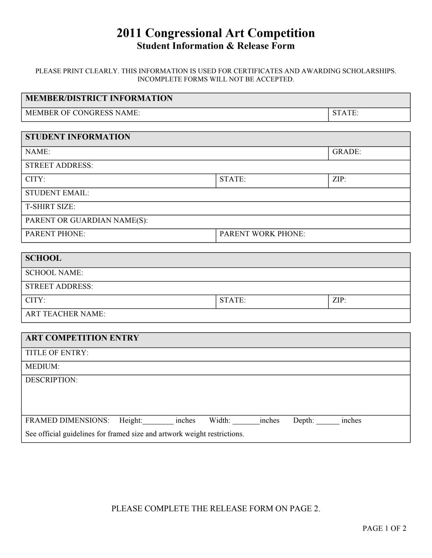# **2011 Congressional Art Competition Student Information & Release Form**

#### PLEASE PRINT CLEARLY. THIS INFORMATION IS USED FOR CERTIFICATES AND AWARDING SCHOLARSHIPS. INCOMPLETE FORMS WILL NOT BE ACCEPTED.

| <b>MEMBER/DISTRICT INFORMATION</b>                                       |        |               |  |
|--------------------------------------------------------------------------|--------|---------------|--|
| MEMBER OF CONGRESS NAME:                                                 |        | STATE:        |  |
|                                                                          |        |               |  |
| <b>STUDENT INFORMATION</b>                                               |        |               |  |
| NAME:                                                                    |        | <b>GRADE:</b> |  |
| <b>STREET ADDRESS:</b>                                                   |        |               |  |
| CITY:                                                                    | STATE: | ZIP:          |  |
| <b>STUDENT EMAIL:</b>                                                    |        |               |  |
| <b>T-SHIRT SIZE:</b>                                                     |        |               |  |
| PARENT OR GUARDIAN NAME(S):                                              |        |               |  |
| <b>PARENT PHONE:</b><br>PARENT WORK PHONE:                               |        |               |  |
|                                                                          |        |               |  |
| <b>SCHOOL</b>                                                            |        |               |  |
| <b>SCHOOL NAME:</b>                                                      |        |               |  |
| <b>STREET ADDRESS:</b>                                                   |        |               |  |
| CITY:                                                                    | STATE: | ZIP:          |  |
| <b>ART TEACHER NAME:</b>                                                 |        |               |  |
|                                                                          |        |               |  |
| <b>ART COMPETITION ENTRY</b>                                             |        |               |  |
| TITLE OF ENTRY:                                                          |        |               |  |
| MEDIUM:                                                                  |        |               |  |
| <b>DESCRIPTION:</b>                                                      |        |               |  |
|                                                                          |        |               |  |
|                                                                          |        |               |  |
| FRAMED DIMENSIONS: Height: inches Width: inches<br>Depth: inches         |        |               |  |
| See official guidelines for framed size and artwork weight restrictions. |        |               |  |

PLEASE COMPLETE THE RELEASE FORM ON PAGE 2.